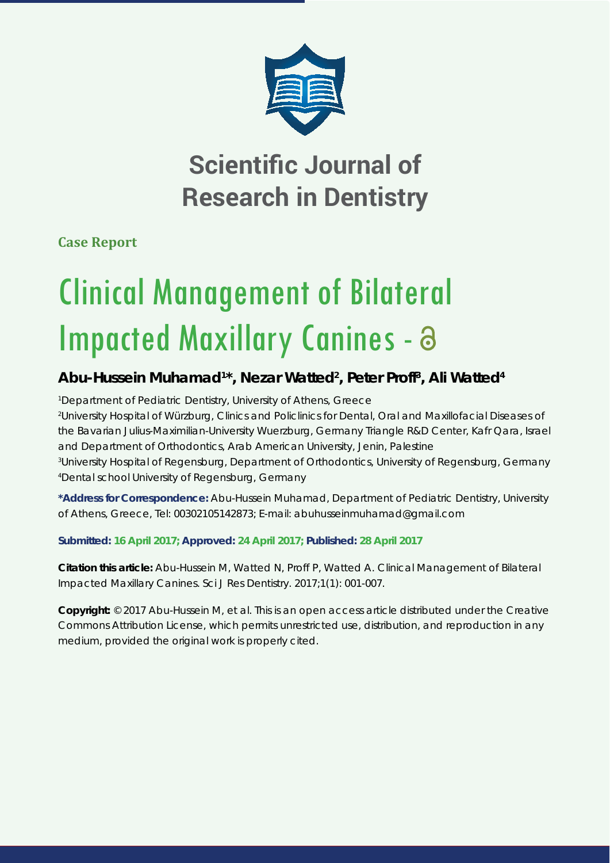

# **Scientific Journal of Research in Dentistry**

**Case Report**

# Clinical Management of Bilateral Impacted Maxillary Canines - a

## **Abu-Hussein Muhamad1 \*, Nezar Watted2 , Peter Proff3 , Ali Watted4**

 *Department of Pediatric Dentistry, University of Athens, Greece University Hospital of Würzburg, Clinics and Policlinics for Dental, Oral and Maxillofacial Diseases of the Bavarian Julius-Maximilian-University Wuerzburg, Germany Triangle R&D Center, Kafr Qara, Israel and Department of Orthodontics, Arab American University, Jenin, Palestine University Hospital of Regensburg, Department of Orthodontics, University of Regensburg, Germany Dental school University of Regensburg, Germany*

**\*Address for Correspondence:** Abu-Hussein Muhamad, Department of Pediatric Dentistry, University of Athens, Greece, Tel: 00302105142873; E-mail: abuhusseinmuhamad@gmail.com

**Submitted: 16 April 2017; Approved: 24 April 2017; Published: 28 April 2017**

**Citation this article:** Abu-Hussein M, Watted N, Proff P, Watted A. Clinical Management of Bilateral Impacted Maxillary Canines. Sci J Res Dentistry. 2017;1(1): 001-007.

**Copyright:** © 2017 Abu-Hussein M, et al. This is an open access article distributed under the Creative Commons Attribution License, which permits unrestricted use, distribution, and reproduction in any medium, provided the original work is properly cited.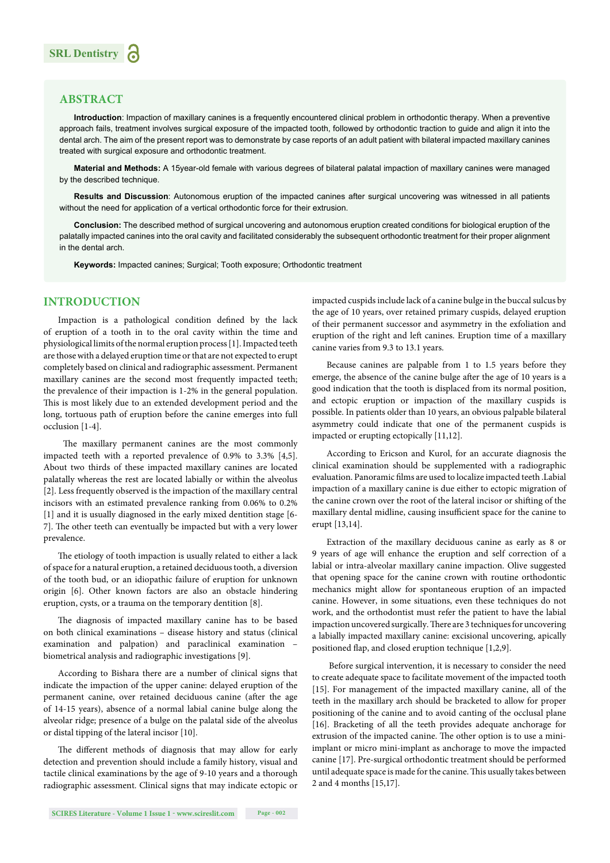

#### **ABSTRACT**

**Introduction**: Impaction of maxillary canines is a frequently encountered clinical problem in orthodontic therapy. When a preventive approach fails, treatment involves surgical exposure of the impacted tooth, followed by orthodontic traction to guide and align it into the dental arch. The aim of the present report was to demonstrate by case reports of an adult patient with bilateral impacted maxillary canines treated with surgical exposure and orthodontic treatment.

**Material and Methods:** A 15year-old female with various degrees of bilateral palatal impaction of maxillary canines were managed by the described technique.

**Results and Discussion**: Autonomous eruption of the impacted canines after surgical uncovering was witnessed in all patients without the need for application of a vertical orthodontic force for their extrusion.

**Conclusion:** The described method of surgical uncovering and autonomous eruption created conditions for biological eruption of the palatally impacted canines into the oral cavity and facilitated considerably the subsequent orthodontic treatment for their proper alignment in the dental arch.

**Keywords:** Impacted canines; Surgical; Tooth exposure; Orthodontic treatment

#### **INTRODUCTION**

Impaction is a pathological condition defined by the lack of eruption of a tooth in to the oral cavity within the time and physiological limits of the normal eruption process [1]. Impacted teeth are those with a delayed eruption time or that are not expected to erupt completely based on clinical and radiographic assessment. Permanent maxillary canines are the second most frequently impacted teeth; the prevalence of their impaction is 1-2% in the general population. This is most likely due to an extended development period and the long, tortuous path of eruption before the canine emerges into full occlusion [1-4].

The maxillary permanent canines are the most commonly impacted teeth with a reported prevalence of 0.9% to 3.3% [4,5]. About two thirds of these impacted maxillary canines are located palatally whereas the rest are located labially or within the alveolus [2]. Less frequently observed is the impaction of the maxillary central incisors with an estimated prevalence ranking from 0.06% to 0.2% [1] and it is usually diagnosed in the early mixed dentition stage [6- 7]. The other teeth can eventually be impacted but with a very lower prevalence.

The etiology of tooth impaction is usually related to either a lack of space for a natural eruption, a retained deciduous tooth, a diversion of the tooth bud, or an idiopathic failure of eruption for unknown origin [6]. Other known factors are also an obstacle hindering eruption, cysts, or a trauma on the temporary dentition [8].

The diagnosis of impacted maxillary canine has to be based on both clinical examinations – disease history and status (clinical examination and palpation) and paraclinical examination – biometrical analysis and radiographic investigations [9].

According to Bishara there are a number of clinical signs that indicate the impaction of the upper canine: delayed eruption of the permanent canine, over retained deciduous canine (after the age of 14-15 years), absence of a normal labial canine bulge along the alveolar ridge; presence of a bulge on the palatal side of the alveolus or distal tipping of the lateral incisor [10].

The different methods of diagnosis that may allow for early detection and prevention should include a family history, visual and tactile clinical examinations by the age of 9-10 years and a thorough radiographic assessment. Clinical signs that may indicate ectopic or impacted cuspids include lack of a canine bulge in the buccal sulcus by the age of 10 years, over retained primary cuspids, delayed eruption of their permanent successor and asymmetry in the exfoliation and eruption of the right and left canines. Eruption time of a maxillary canine varies from 9.3 to 13.1 years.

Because canines are palpable from 1 to 1.5 years before they emerge, the absence of the canine bulge after the age of 10 years is a good indication that the tooth is displaced from its normal position, and ectopic eruption or impaction of the maxillary cuspids is possible. In patients older than 10 years, an obvious palpable bilateral asymmetry could indicate that one of the permanent cuspids is impacted or erupting ectopically [11,12].

According to Ericson and Kurol, for an accurate diagnosis the clinical examination should be supplemented with a radiographic evaluation. Panoramic films are used to localize impacted teeth .Labial impaction of a maxillary canine is due either to ectopic migration of the canine crown over the root of the lateral incisor or shifting of the maxillary dental midline, causing insufficient space for the canine to erupt [13,14].

Extraction of the maxillary deciduous canine as early as 8 or 9 years of age will enhance the eruption and self correction of a labial or intra-alveolar maxillary canine impaction. Olive suggested that opening space for the canine crown with routine orthodontic mechanics might allow for spontaneous eruption of an impacted canine. However, in some situations, even these techniques do not work, and the orthodontist must refer the patient to have the labial impaction uncovered surgically. There are 3 techniques for uncovering a labially impacted maxillary canine: excisional uncovering, apically positioned flap, and closed eruption technique [1,2,9].

 Before surgical intervention, it is necessary to consider the need to create adequate space to facilitate movement of the impacted tooth [15]. For management of the impacted maxillary canine, all of the teeth in the maxillary arch should be bracketed to allow for proper positioning of the canine and to avoid canting of the occlusal plane [16]. Bracketing of all the teeth provides adequate anchorage for extrusion of the impacted canine. The other option is to use a miniimplant or micro mini-implant as anchorage to move the impacted canine [17]. Pre-surgical orthodontic treatment should be performed until adequate space is made for the canine. This usually takes between 2 and 4 months [15,17].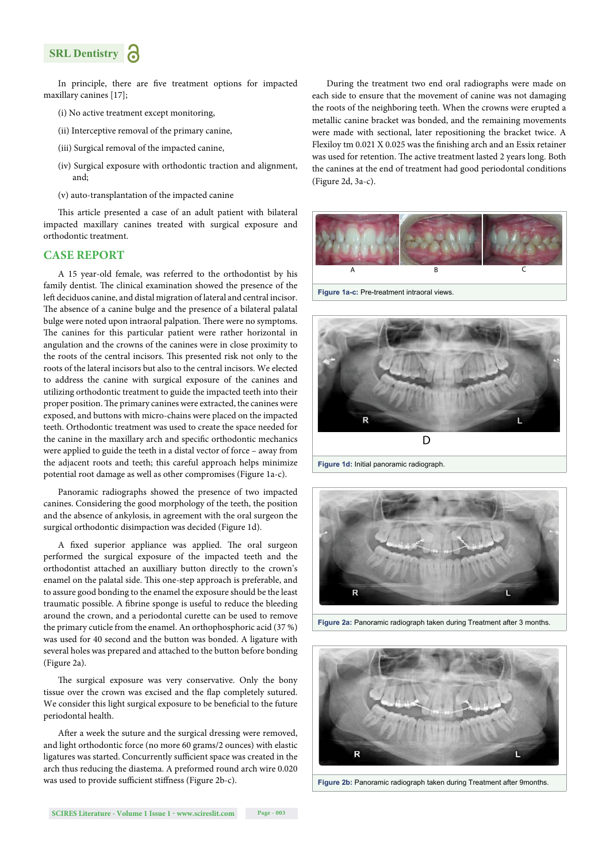### **SRL Dentistry**

In principle, there are five treatment options for impacted maxillary canines [17];

- (i) No active treatment except monitoring,
- (ii) Interceptive removal of the primary canine,
- (iii) Surgical removal of the impacted canine,
- (iv) Surgical exposure with orthodontic traction and alignment, and;
- (v) auto-transplantation of the impacted canine

This article presented a case of an adult patient with bilateral impacted maxillary canines treated with surgical exposure and orthodontic treatment.

#### **CASE REPORT**

A 15 year-old female, was referred to the orthodontist by his family dentist. The clinical examination showed the presence of the left deciduos canine, and distal migration of lateral and central incisor. The absence of a canine bulge and the presence of a bilateral palatal bulge were noted upon intraoral palpation. There were no symptoms. The canines for this particular patient were rather horizontal in angulation and the crowns of the canines were in close proximity to the roots of the central incisors. This presented risk not only to the roots of the lateral incisors but also to the central incisors. We elected to address the canine with surgical exposure of the canines and utilizing orthodontic treatment to guide the impacted teeth into their proper position. The primary canines were extracted, the canines were exposed, and buttons with micro-chains were placed on the impacted teeth. Orthodontic treatment was used to create the space needed for the canine in the maxillary arch and specific orthodontic mechanics were applied to guide the teeth in a distal vector of force – away from the adjacent roots and teeth; this careful approach helps minimize potential root damage as well as other compromises (Figure 1a-c).

Panoramic radiographs showed the presence of two impacted canines. Considering the good morphology of the teeth, the position and the absence of ankylosis, in agreement with the oral surgeon the surgical orthodontic disimpaction was decided (Figure 1d).

A fixed superior appliance was applied. The oral surgeon performed the surgical exposure of the impacted teeth and the orthodontist attached an auxilliary button directly to the crown's enamel on the palatal side. This one-step approach is preferable, and to assure good bonding to the enamel the exposure should be the least traumatic possible. A fibrine sponge is useful to reduce the bleeding around the crown, and a periodontal curette can be used to remove the primary cuticle from the enamel. An orthophosphoric acid (37 %) was used for 40 second and the button was bonded. A ligature with several holes was prepared and attached to the button before bonding (Figure 2a).

The surgical exposure was very conservative. Only the bony tissue over the crown was excised and the flap completely sutured. We consider this light surgical exposure to be beneficial to the future periodontal health.

After a week the suture and the surgical dressing were removed, and light orthodontic force (no more 60 grams/2 ounces) with elastic ligatures was started. Concurrently sufficient space was created in the arch thus reducing the diastema. A preformed round arch wire 0.020 was used to provide sufficient stiffness (Figure 2b-c).

During the treatment two end oral radiographs were made on each side to ensure that the movement of canine was not damaging the roots of the neighboring teeth. When the crowns were erupted a metallic canine bracket was bonded, and the remaining movements were made with sectional, later repositioning the bracket twice. A Flexiloy tm 0.021 X 0.025 was the finishing arch and an Essix retainer was used for retention. The active treatment lasted 2 years long. Both the canines at the end of treatment had good periodontal conditions (Figure 2d, 3a-c).



**Figure 1a-c:** Pre-treatment intraoral views.





**Figure 2a:** Panoramic radiograph taken during Treatment after 3 months.



**Figure 2b:** Panoramic radiograph taken during Treatment after 9months.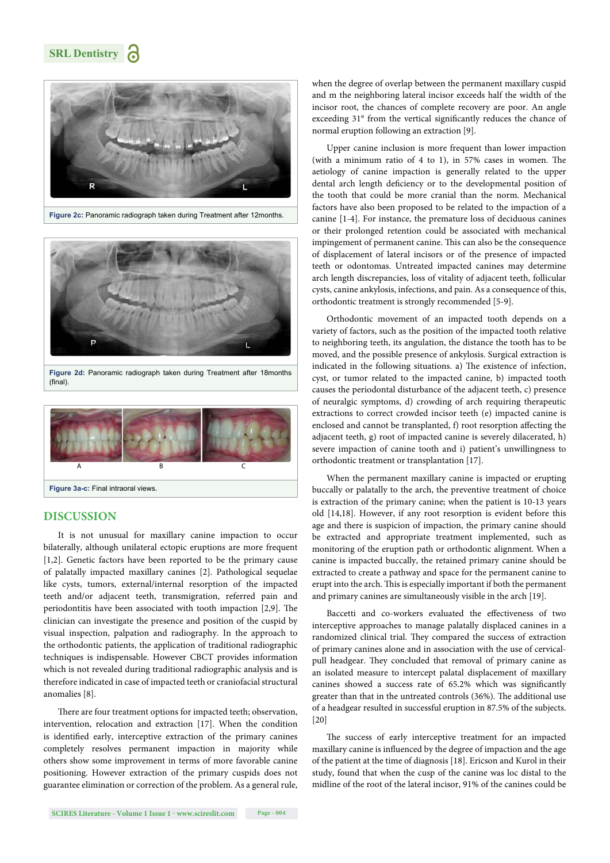**SRL Dentistry**



**Figure 2c:** Panoramic radiograph taken during Treatment after 12months.



**Figure 2d:** Panoramic radiograph taken during Treatment after 18months  $(final)$ .



#### **DISCUSSION**

It is not unusual for maxillary canine impaction to occur bilaterally, although unilateral ectopic eruptions are more frequent [1,2]. Genetic factors have been reported to be the primary cause of palatally impacted maxillary canines [2]. Pathological sequelae like cysts, tumors, external/internal resorption of the impacted teeth and/or adjacent teeth, transmigration, referred pain and periodontitis have been associated with tooth impaction  $[2,9]$ . The clinician can investigate the presence and position of the cuspid by visual inspection, palpation and radiography. In the approach to the orthodontic patients, the application of traditional radiographic techniques is indispensable. However CBCT provides information which is not revealed during traditional radiographic analysis and is therefore indicated in case of impacted teeth or craniofacial structural anomalies [8].

There are four treatment options for impacted teeth; observation, intervention, relocation and extraction [17]. When the condition is identified early, interceptive extraction of the primary canines completely resolves permanent impaction in majority while others show some improvement in terms of more favorable canine positioning. However extraction of the primary cuspids does not guarantee elimination or correction of the problem. As a general rule, when the degree of overlap between the permanent maxillary cuspid and m the neighboring lateral incisor exceeds half the width of the incisor root, the chances of complete recovery are poor. An angle exceeding 31° from the vertical significantly reduces the chance of normal eruption following an extraction [9].

Upper canine inclusion is more frequent than lower impaction (with a minimum ratio of  $4$  to 1), in 57% cases in women. The aetiology of canine impaction is generally related to the upper dental arch length deficiency or to the developmental position of the tooth that could be more cranial than the norm. Mechanical factors have also been proposed to be related to the impaction of a canine [1-4]. For instance, the premature loss of deciduous canines or their prolonged retention could be associated with mechanical impingement of permanent canine. This can also be the consequence of displacement of lateral incisors or of the presence of impacted teeth or odontomas. Untreated impacted canines may determine arch length discrepancies, loss of vitality of adjacent teeth, follicular cysts, canine ankylosis, infections, and pain. As a consequence of this, orthodontic treatment is strongly recommended [5-9].

Orthodontic movement of an impacted tooth depends on a variety of factors, such as the position of the impacted tooth relative to neighboring teeth, its angulation, the distance the tooth has to be moved, and the possible presence of ankylosis. Surgical extraction is indicated in the following situations. a) The existence of infection, cyst, or tumor related to the impacted canine, b) impacted tooth causes the periodontal disturbance of the adjacent teeth, c) presence of neuralgic symptoms, d) crowding of arch requiring therapeutic extractions to correct crowded incisor teeth (e) impacted canine is enclosed and cannot be transplanted, f) root resorption affecting the adjacent teeth, g) root of impacted canine is severely dilacerated, h) severe impaction of canine tooth and i) patient's unwillingness to orthodontic treatment or transplantation [17].

When the permanent maxillary canine is impacted or erupting buccally or palatally to the arch, the preventive treatment of choice is extraction of the primary canine; when the patient is 10-13 years old [14,18]. However, if any root resorption is evident before this age and there is suspicion of impaction, the primary canine should be extracted and appropriate treatment implemented, such as monitoring of the eruption path or orthodontic alignment. When a canine is impacted buccally, the retained primary canine should be extracted to create a pathway and space for the permanent canine to erupt into the arch. This is especially important if both the permanent and primary canines are simultaneously visible in the arch [19].

Baccetti and co-workers evaluated the effectiveness of two interceptive approaches to manage palatally displaced canines in a randomized clinical trial. They compared the success of extraction of primary canines alone and in association with the use of cervicalpull headgear. They concluded that removal of primary canine as an isolated measure to intercept palatal displacement of maxillary canines showed a success rate of 65.2% which was significantly greater than that in the untreated controls (36%). The additional use of a headgear resulted in successful eruption in 87.5% of the subjects. [20]

The success of early interceptive treatment for an impacted maxillary canine is influenced by the degree of impaction and the age of the patient at the time of diagnosis [18]. Ericson and Kurol in their study, found that when the cusp of the canine was loc distal to the midline of the root of the lateral incisor, 91% of the canines could be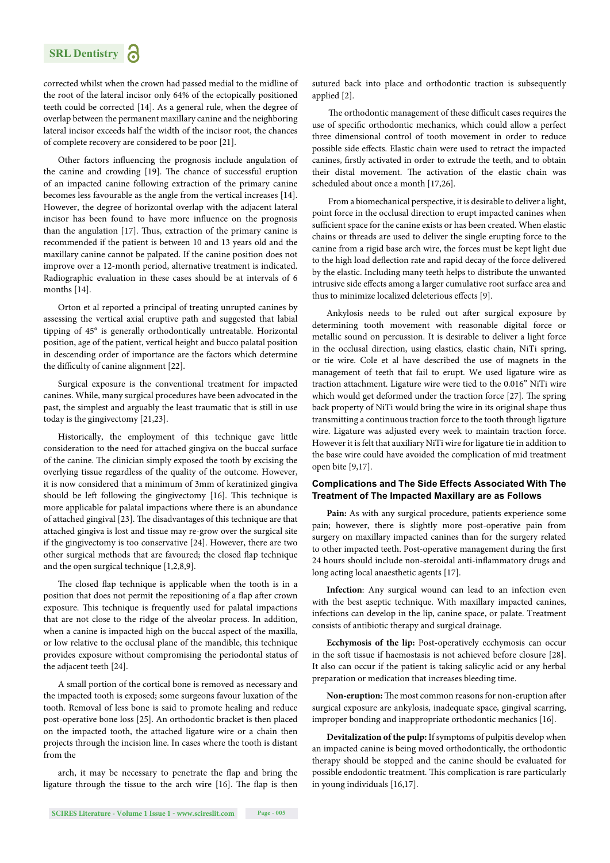

corrected whilst when the crown had passed medial to the midline of the root of the lateral incisor only 64% of the ectopically positioned teeth could be corrected [14]. As a general rule, when the degree of overlap between the permanent maxillary canine and the neighboring lateral incisor exceeds half the width of the incisor root, the chances of complete recovery are considered to be poor [21].

Other factors influencing the prognosis include angulation of the canine and crowding [19]. The chance of successful eruption of an impacted canine following extraction of the primary canine becomes less favourable as the angle from the vertical increases [14]. However, the degree of horizontal overlap with the adjacent lateral incisor has been found to have more influence on the prognosis than the angulation  $[17]$ . Thus, extraction of the primary canine is recommended if the patient is between 10 and 13 years old and the maxillary canine cannot be palpated. If the canine position does not improve over a 12-month period, alternative treatment is indicated. Radiographic evaluation in these cases should be at intervals of 6 months [14].

Orton et al reported a principal of treating unrupted canines by assessing the vertical axial eruptive path and suggested that labial tipping of 45° is generally orthodontically untreatable. Horizontal position, age of the patient, vertical height and bucco palatal position in descending order of importance are the factors which determine the difficulty of canine alignment [22].

Surgical exposure is the conventional treatment for impacted canines. While, many surgical procedures have been advocated in the past, the simplest and arguably the least traumatic that is still in use today is the gingivectomy [21,23].

Historically, the employment of this technique gave little consideration to the need for attached gingiva on the buccal surface of the canine. The clinician simply exposed the tooth by excising the overlying tissue regardless of the quality of the outcome. However, it is now considered that a minimum of 3mm of keratinized gingiva should be left following the gingivectomy [16]. This technique is more applicable for palatal impactions where there is an abundance of attached gingival [23]. The disadvantages of this technique are that attached gingiva is lost and tissue may re-grow over the surgical site if the gingivectomy is too conservative [24]. However, there are two other surgical methods that are favoured; the closed flap technique and the open surgical technique [1,2,8,9].

The closed flap technique is applicable when the tooth is in a position that does not permit the repositioning of a flap after crown exposure. This technique is frequently used for palatal impactions that are not close to the ridge of the alveolar process. In addition, when a canine is impacted high on the buccal aspect of the maxilla, or low relative to the occlusal plane of the mandible, this technique provides exposure without compromising the periodontal status of the adjacent teeth [24].

A small portion of the cortical bone is removed as necessary and the impacted tooth is exposed; some surgeons favour luxation of the tooth. Removal of less bone is said to promote healing and reduce post-operative bone loss [25]. An orthodontic bracket is then placed on the impacted tooth, the attached ligature wire or a chain then projects through the incision line. In cases where the tooth is distant from the

arch, it may be necessary to penetrate the flap and bring the ligature through the tissue to the arch wire [16]. The flap is then sutured back into place and orthodontic traction is subsequently applied [2].

The orthodontic management of these difficult cases requires the use of specific orthodontic mechanics, which could allow a perfect three dimensional control of tooth movement in order to reduce possible side effects. Elastic chain were used to retract the impacted canines, firstly activated in order to extrude the teeth, and to obtain their distal movement. The activation of the elastic chain was scheduled about once a month [17,26].

 From a biomechanical perspective, it is desirable to deliver a light, point force in the occlusal direction to erupt impacted canines when sufficient space for the canine exists or has been created. When elastic chains or threads are used to deliver the single erupting force to the canine from a rigid base arch wire, the forces must be kept light due to the high load deflection rate and rapid decay of the force delivered by the elastic. Including many teeth helps to distribute the unwanted intrusive side effects among a larger cumulative root surface area and thus to minimize localized deleterious effects [9].

Ankylosis needs to be ruled out after surgical exposure by determining tooth movement with reasonable digital force or metallic sound on percussion. It is desirable to deliver a light force in the occlusal direction, using elastics, elastic chain, NiTi spring, or tie wire. Cole et al have described the use of magnets in the management of teeth that fail to erupt. We used ligature wire as traction attachment. Ligature wire were tied to the 0.016" NiTi wire which would get deformed under the traction force [27]. The spring back property of NiTi would bring the wire in its original shape thus transmitting a continuous traction force to the tooth through ligature wire. Ligature was adjusted every week to maintain traction force. However it is felt that auxiliary NiTi wire for ligature tie in addition to the base wire could have avoided the complication of mid treatment open bite [9,17].

#### **Complications and The Side Effects Associated With The Treatment of The Impacted Maxillary are as Follows**

Pain: As with any surgical procedure, patients experience some pain; however, there is slightly more post-operative pain from surgery on maxillary impacted canines than for the surgery related to other impacted teeth. Post-operative management during the first 24 hours should include non-steroidal anti-inflammatory drugs and long acting local anaesthetic agents [17].

**Infection**: Any surgical wound can lead to an infection even with the best aseptic technique. With maxillary impacted canines, infections can develop in the lip, canine space, or palate. Treatment consists of antibiotic therapy and surgical drainage.

**Ecchymosis of the lip:** Post-operatively ecchymosis can occur in the soft tissue if haemostasis is not achieved before closure [28]. It also can occur if the patient is taking salicylic acid or any herbal preparation or medication that increases bleeding time.

Non-eruption: The most common reasons for non-eruption after surgical exposure are ankylosis, inadequate space, gingival scarring, improper bonding and inappropriate orthodontic mechanics [16].

**Devitalization of the pulp:** If symptoms of pulpitis develop when an impacted canine is being moved orthodontically, the orthodontic therapy should be stopped and the canine should be evaluated for possible endodontic treatment. This complication is rare particularly in young individuals [16,17].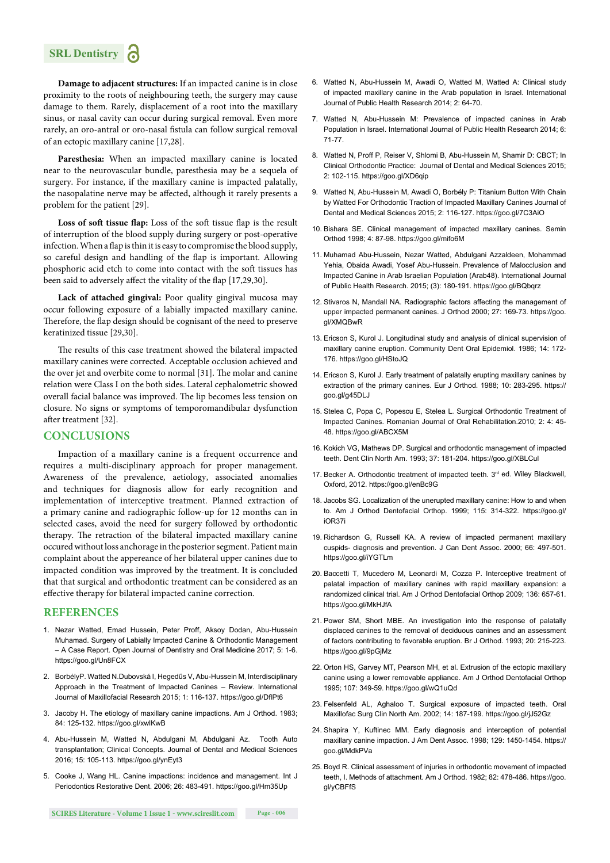

**Damage to adjacent structures:** If an impacted canine is in close proximity to the roots of neighbouring teeth, the surgery may cause damage to them. Rarely, displacement of a root into the maxillary sinus, or nasal cavity can occur during surgical removal. Even more rarely, an oro-antral or oro-nasal fistula can follow surgical removal of an ectopic maxillary canine [17,28].

**Paresthesia:** When an impacted maxillary canine is located near to the neurovascular bundle, paresthesia may be a sequela of surgery. For instance, if the maxillary canine is impacted palatally, the nasopalatine nerve may be affected, although it rarely presents a problem for the patient [29].

Loss of soft tissue flap: Loss of the soft tissue flap is the result of interruption of the blood supply during surgery or post-operative infection. When a flap is thin it is easy to compromise the blood supply, so careful design and handling of the flap is important. Allowing phosphoric acid etch to come into contact with the soft tissues has been said to adversely affect the vitality of the flap [17,29,30].

**Lack of attached gingival:** Poor quality gingival mucosa may occur following exposure of a labially impacted maxillary canine. Therefore, the flap design should be cognisant of the need to preserve keratinized tissue [29,30].

The results of this case treatment showed the bilateral impacted maxillary canines were corrected. Acceptable occlusion achieved and the over jet and overbite come to normal [31]. The molar and canine relation were Class I on the both sides. Lateral cephalometric showed overall facial balance was improved. The lip becomes less tension on closure. No signs or symptoms of temporomandibular dysfunction after treatment [32].

#### **CONCLUSIONS**

Impaction of a maxillary canine is a frequent occurrence and requires a multi-disciplinary approach for proper management. Awareness of the prevalence, aetiology, associated anomalies and techniques for diagnosis allow for early recognition and implementation of interceptive treatment. Planned extraction of a primary canine and radiographic follow-up for 12 months can in selected cases, avoid the need for surgery followed by orthodontic therapy. The retraction of the bilateral impacted maxillary canine occured without loss anchorage in the posterior segment. Patient main complaint about the appereance of her bilateral upper canines due to impacted condition was improved by the treatment. It is concluded that that surgical and orthodontic treatment can be considered as an effective therapy for bilateral impacted canine correction.

#### **REFERENCES**

- 1. Nezar Watted, Emad Hussein, Peter Proff, Aksoy Dodan, Abu-Hussein Muhamad. Surgery of Labially Impacted Canine & Orthodontic Management – A Case Report. Open Journal of Dentistry and Oral Medicine 2017; 5: 1-6. https://goo.gl/Un8FCX
- 2. BorbélyP. Watted N.Dubovská I, Hegedűs V, Abu-Hussein M, Interdisciplinary Approach in the Treatment of Impacted Canines – Review. International Journal of Maxillofacial Research 2015; 1: 116-137. https://goo.gl/DflPt6
- 3. Jacoby H. The etiology of maxillary canine impactions. Am J Orthod. 1983; 84: 125-132. https://goo.gl/xwlKwB
- 4. Abu-Hussein M, Watted N, Abdulgani M, Abdulgani Az. Tooth Auto transplantation; Clinical Concepts. Journal of Dental and Medical Sciences 2016; 15: 105-113. https://goo.gl/ynEyt3
- 5. Cooke J, Wang HL. Canine impactions: incidence and management. Int J Periodontics Restorative Dent. 2006; 26: 483-491. https://goo.gl/Hm35Up
- 6. Watted N, Abu-Hussein M, Awadi O, Watted M, Watted A: Clinical study of impacted maxillary canine in the Arab population in Israel. International Journal of Public Health Research 2014; 2: 64-70.
- 7. Watted N, Abu-Hussein M: Prevalence of impacted canines in Arab Population in Israel. International Journal of Public Health Research 2014; 6: 71-77.
- 8. Watted N, Proff P, Reiser V, Shlomi B, Abu-Hussein M, Shamir D: CBCT; In Clinical Orthodontic Practice: Journal of Dental and Medical Sciences 2015; 2: 102-115. https://goo.gl/XD6qip
- 9. Watted N, Abu-Hussein M, Awadi O, Borbély P: Titanium Button With Chain by Watted For Orthodontic Traction of Impacted Maxillary Canines Journal of Dental and Medical Sciences 2015; 2: 116-127. https://goo.gl/7C3AiO
- 10. Bishara SE. Clinical management of impacted maxillary canines. Semin Orthod 1998; 4: 87-98. https://goo.gl/mifo6M
- 11. Muhamad Abu-Hussein, Nezar Watted, Abdulgani Azzaldeen, Mohammad Yehia, Obaida Awadi, Yosef Abu-Hussein. Prevalence of Malocclusion and Impacted Canine in Arab Israelian Population (Arab48). International Journal of Public Health Research. 2015; (3): 180-191. https://goo.gl/BQbqrz
- 12. Stivaros N, Mandall NA. Radiographic factors affecting the management of upper impacted permanent canines. J Orthod 2000; 27: 169-73. https://goo. gl/XMQBwR
- 13. Ericson S, Kurol J. Longitudinal study and analysis of clinical supervision of maxillary canine eruption. Community Dent Oral Epidemiol. 1986; 14: 172- 176. https://goo.gl/HStoJQ
- 14. Ericson S, Kurol J. Early treatment of palatally erupting maxillary canines by extraction of the primary canines. Eur J Orthod. 1988; 10: 283-295. https:// goo.gl/g45DLJ
- 15. Stelea C, Popa C, Popescu E, Stelea L. Surgical Orthodontic Treatment of Impacted Canines. Romanian Journal of Oral Rehabilitation.2010; 2: 4: 45- 48. https://goo.gl/ABCX5M
- 16. Kokich VG, Mathews DP. Surgical and orthodontic management of impacted teeth. Dent Clin North Am. 1993; 37: 181-204. https://goo.gl/XBLCul
- 17. Becker A. Orthodontic treatment of impacted teeth. 3rd ed. Wiley Blackwell, Oxford, 2012. https://goo.gl/enBc9G
- 18. Jacobs SG. Localization of the unerupted maxillary canine: How to and when to. Am J Orthod Dentofacial Orthop. 1999; 115: 314-322. https://goo.gl/ iOR37i
- 19. Richardson G, Russell KA. A review of impacted permanent maxillary cuspids- diagnosis and prevention. J Can Dent Assoc. 2000; 66: 497-501. https://goo.gl/iYGTLm
- 20. Baccetti T, Mucedero M, Leonardi M, Cozza P. Interceptive treatment of palatal impaction of maxillary canines with rapid maxillary expansion: a randomized clinical trial. Am J Orthod Dentofacial Orthop 2009; 136: 657-61. https://goo.gl/MkHJfA
- 21. Power SM, Short MBE. An investigation into the response of palatally displaced canines to the removal of deciduous canines and an assessment of factors contributing to favorable eruption. Br J Orthod. 1993; 20: 215-223. https://goo.gl/9pGjMz
- 22. Orton HS, Garvey MT, Pearson MH, et al. Extrusion of the ectopic maxillary canine using a lower removable appliance. Am J Orthod Dentofacial Orthop 1995; 107: 349-59. https://goo.gl/wQ1uQd
- 23. Felsenfeld AL, Aghaloo T. Surgical exposure of impacted teeth. Oral Maxillofac Surg Clin North Am. 2002; 14: 187-199. https://goo.gl/jJ52Gz
- 24. Shapira Y, Kuftinec MM. Early diagnosis and interception of potential maxillary canine impaction. J Am Dent Assoc. 1998; 129: 1450-1454. https:// goo.gl/MdkPVa
- 25. Boyd R. Clinical assessment of injuries in orthodontic movement of impacted teeth, I. Methods of attachment. Am J Orthod. 1982; 82: 478-486. https://goo. gl/yCBFfS